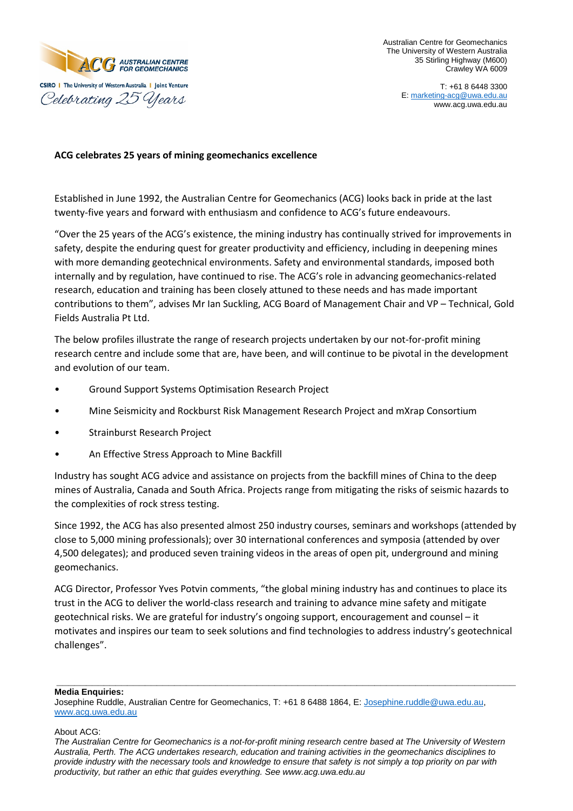

Australian Centre for Geomechanics The University of Western Australia 35 Stirling Highway (M600) Crawley WA 6009

# **ACG celebrates 25 years of mining geomechanics excellence**

Established in June 1992, the Australian Centre for Geomechanics (ACG) looks back in pride at the last twenty-five years and forward with enthusiasm and confidence to ACG's future endeavours.

"Over the 25 years of the ACG's existence, the mining industry has continually strived for improvements in safety, despite the enduring quest for greater productivity and efficiency, including in deepening mines with more demanding geotechnical environments. Safety and environmental standards, imposed both internally and by regulation, have continued to rise. The ACG's role in advancing geomechanics-related research, education and training has been closely attuned to these needs and has made important contributions to them", advises Mr Ian Suckling, ACG Board of Management Chair and VP – Technical, Gold Fields Australia Pt Ltd.

The below profiles illustrate the range of research projects undertaken by our not-for-profit mining research centre and include some that are, have been, and will continue to be pivotal in the development and evolution of our team.

- Ground Support Systems Optimisation Research Project
- Mine Seismicity and Rockburst Risk Management Research Project and mXrap Consortium
- Strainburst Research Project
- An Effective Stress Approach to Mine Backfill

Industry has sought ACG advice and assistance on projects from the backfill mines of China to the deep mines of Australia, Canada and South Africa. Projects range from mitigating the risks of seismic hazards to the complexities of rock stress testing.

Since 1992, the ACG has also presented almost 250 industry courses, seminars and workshops (attended by close to 5,000 mining professionals); over 30 international conferences and symposia (attended by over 4,500 delegates); and produced seven training videos in the areas of open pit, underground and mining geomechanics.

ACG Director, Professor Yves Potvin comments, "the global mining industry has and continues to place its trust in the ACG to deliver the world-class research and training to advance mine safety and mitigate geotechnical risks. We are grateful for industry's ongoing support, encouragement and counsel – it motivates and inspires our team to seek solutions and find technologies to address industry's geotechnical challenges".

#### **\_\_\_\_\_\_\_\_\_\_\_\_\_\_\_\_\_\_\_\_\_\_\_\_\_\_\_\_\_\_\_\_\_\_\_\_\_\_\_\_\_\_\_\_\_\_\_\_\_\_\_\_\_\_\_\_\_\_\_\_\_\_\_\_\_\_\_\_\_\_\_\_\_\_\_\_\_\_ Media Enquiries:**

Josephine Ruddle, Australian Centre for Geomechanics, T: +61 8 6488 1864, E: [Josephine.ruddle@uwa.edu.au,](mailto:Josephine.ruddle@uwa.edu.au) [www.acg.uwa.edu.au](http://www.acg.uwa.edu.au/)

# About ACG:

*The Australian Centre for Geomechanics is a not-for-profit mining research centre based at The University of Western Australia, Perth. The ACG undertakes research, education and training activities in the geomechanics disciplines to provide industry with the necessary tools and knowledge to ensure that safety is not simply a top priority on par with productivity, but rather an ethic that guides everything. See www.acg.uwa.edu.au*